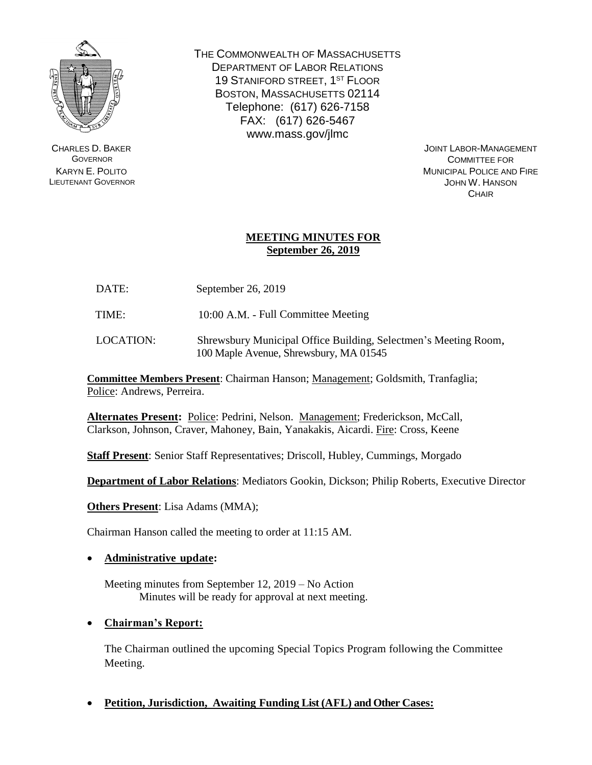

CHARLES D. BAKER **GOVERNOR** KARYN E. POLITO LIEUTENANT GOVERNOR THE COMMONWEALTH OF MASSACHUSETTS DEPARTMENT OF LABOR RELATIONS 19 STANIFORD STREET, 1<sup>ST</sup> FLOOR BOSTON, MASSACHUSETTS 02114 Telephone: (617) 626-7158 FAX: (617) 626-5467 www.mass.gov/jlmc

JOINT LABOR-MANAGEMENT COMMITTEE FOR MUNICIPAL POLICE AND FIRE JOHN W. HANSON **CHAIR** 

# **MEETING MINUTES FOR September 26, 2019**

DATE: September 26, 2019

TIME: 10:00 A.M. - Full Committee Meeting

LOCATION: Shrewsbury Municipal Office Building, Selectmen's Meeting Room, 100 Maple Avenue, Shrewsbury, MA 01545

**Committee Members Present**: Chairman Hanson; Management; Goldsmith, Tranfaglia; Police: Andrews, Perreira.

**Alternates Present:** Police: Pedrini, Nelson. Management; Frederickson, McCall, Clarkson, Johnson, Craver, Mahoney, Bain, Yanakakis, Aicardi. Fire: Cross, Keene

**Staff Present**: Senior Staff Representatives; Driscoll, Hubley, Cummings, Morgado

**Department of Labor Relations**: Mediators Gookin, Dickson; Philip Roberts, Executive Director

**Others Present**: Lisa Adams (MMA);

Chairman Hanson called the meeting to order at 11:15 AM.

## • **Administrative update:**

Meeting minutes from September 12, 2019 – No Action Minutes will be ready for approval at next meeting.

## • **Chairman's Report:**

The Chairman outlined the upcoming Special Topics Program following the Committee Meeting.

• **Petition, Jurisdiction, Awaiting Funding List (AFL) and Other Cases:**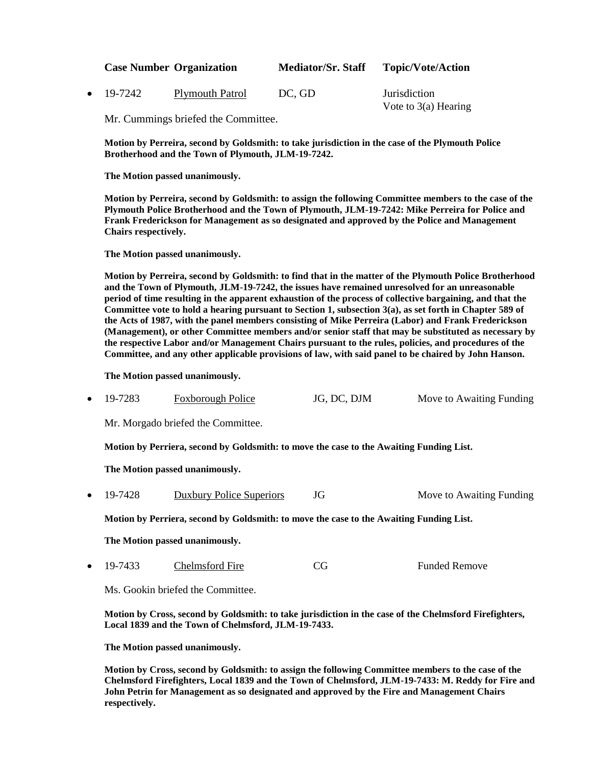| <b>Case Number Organization</b> |                 | <b>Mediator/Sr. Staff</b> | <b>Topic/Vote/Action</b>                      |
|---------------------------------|-----------------|---------------------------|-----------------------------------------------|
| $\bullet$ 19-7242               | Plymouth Patrol | DC. GD                    | <i>Jurisdiction</i><br>Vote to $3(a)$ Hearing |

Mr. Cummings briefed the Committee.

**Motion by Perreira, second by Goldsmith: to take jurisdiction in the case of the Plymouth Police Brotherhood and the Town of Plymouth, JLM-19-7242.**

**The Motion passed unanimously.**

**Motion by Perreira, second by Goldsmith: to assign the following Committee members to the case of the Plymouth Police Brotherhood and the Town of Plymouth, JLM-19-7242: Mike Perreira for Police and Frank Frederickson for Management as so designated and approved by the Police and Management Chairs respectively.**

**The Motion passed unanimously.**

**Motion by Perreira, second by Goldsmith: to find that in the matter of the Plymouth Police Brotherhood and the Town of Plymouth, JLM-19-7242, the issues have remained unresolved for an unreasonable period of time resulting in the apparent exhaustion of the process of collective bargaining, and that the Committee vote to hold a hearing pursuant to Section 1, subsection 3(a), as set forth in Chapter 589 of the Acts of 1987, with the panel members consisting of Mike Perreira (Labor) and Frank Frederickson (Management), or other Committee members and/or senior staff that may be substituted as necessary by the respective Labor and/or Management Chairs pursuant to the rules, policies, and procedures of the Committee, and any other applicable provisions of law, with said panel to be chaired by John Hanson.**

**The Motion passed unanimously.**

• 19-7283 Foxborough Police JG, DC, DJM Move to Awaiting Funding

Mr. Morgado briefed the Committee.

**Motion by Perriera, second by Goldsmith: to move the case to the Awaiting Funding List.**

**The Motion passed unanimously.**

• 19-7428 Duxbury Police Superiors JG Move to Awaiting Funding

**Motion by Perriera, second by Goldsmith: to move the case to the Awaiting Funding List.**

**The Motion passed unanimously.**

19-7433 Chelmsford Fire CG Funded Remove

Ms. Gookin briefed the Committee.

**Motion by Cross, second by Goldsmith: to take jurisdiction in the case of the Chelmsford Firefighters, Local 1839 and the Town of Chelmsford, JLM-19-7433.**

**The Motion passed unanimously.**

**Motion by Cross, second by Goldsmith: to assign the following Committee members to the case of the Chelmsford Firefighters, Local 1839 and the Town of Chelmsford, JLM-19-7433: M. Reddy for Fire and John Petrin for Management as so designated and approved by the Fire and Management Chairs respectively.**